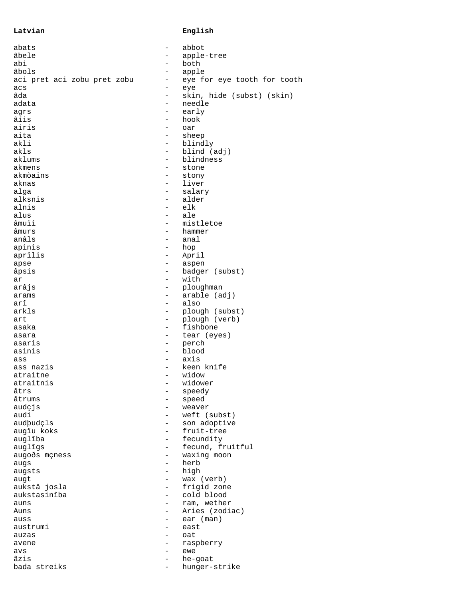## **Latvian English**

| abats                       | $\qquad \qquad -$        | abbot                       |
|-----------------------------|--------------------------|-----------------------------|
| âbele                       | -                        | apple-tree                  |
| abi                         |                          | both                        |
| âbols                       | -                        | apple                       |
| aci pret aci zobu pret zobu | $\qquad \qquad -$        | eye for eye tooth for tooth |
| acs                         | $\qquad \qquad -$        | eye                         |
| âda                         | $\overline{\phantom{0}}$ | skin, hide (subst) (skin)   |
| adata                       |                          | needle                      |
| agrs                        | $\overline{\phantom{0}}$ | early                       |
| âíis                        | $\qquad \qquad -$        | hook                        |
| airis                       | -                        | oar                         |
| aita                        | $\overline{\phantom{0}}$ | sheep                       |
| akli                        | $\overline{\phantom{0}}$ | blindly                     |
| akls                        | $\qquad \qquad -$        | blind (adj)                 |
| aklums                      | $\overline{\phantom{0}}$ | blindness                   |
| akmens                      | -                        | stone                       |
| akmòains                    | $\overline{\phantom{0}}$ |                             |
|                             |                          | stony                       |
| aknas                       | -                        | liver                       |
| alqa                        | -                        | salary                      |
| alksnis                     | $\overline{\phantom{0}}$ | alder                       |
| alnis                       |                          | elk                         |
| alus                        | $\overline{\phantom{0}}$ | ale                         |
| âmuïi                       | -                        | mistletoe                   |
| âmurs                       | $\overline{\phantom{0}}$ | hammer                      |
| anâls                       |                          | anal                        |
| apinis                      | $\qquad \qquad -$        | hop                         |
| aprîlis                     | $\qquad \qquad -$        | April                       |
| apse                        | $\overline{\phantom{0}}$ | aspen                       |
| âpsis                       | $\qquad \qquad -$        | badger (subst)              |
| ar                          | $\qquad \qquad -$        | with                        |
| arâjs                       | -                        | ploughman                   |
| arams                       | $\overline{\phantom{0}}$ | arable (adj)                |
| arî                         |                          | also                        |
| arkls                       |                          |                             |
|                             |                          | plough (subst)              |
| art                         | $\qquad \qquad -$        | plough (verb)               |
| asaka                       | $\overline{\phantom{0}}$ | fishbone                    |
| asara                       | $\overline{\phantom{0}}$ | tear (eyes)                 |
| asaris                      | -                        | perch                       |
| asinis                      | $\qquad \qquad -$        | blood                       |
| ass                         | $\overline{\phantom{0}}$ | axis                        |
| ass nazis                   | $\overline{\phantom{0}}$ | keen knife                  |
| atraitne                    | $\overline{\phantom{0}}$ | widow                       |
| atraitnis                   |                          | widower                     |
| âtrs                        |                          | speedy                      |
| âtrums                      | -                        | speed                       |
| audçjs                      |                          | weaver                      |
| audi                        | -                        | weft (subst)                |
| audþudçls                   | -                        | son adoptive                |
| augïu koks                  | -                        | fruit-tree                  |
| auglîba                     | -                        | fecundity                   |
| auglîgs                     | -                        | fecund, fruitful            |
| augoðs mçness               | $\overline{\phantom{0}}$ | waxing moon                 |
| augs                        | $\overline{\phantom{0}}$ | herb                        |
|                             | $\overline{\phantom{0}}$ |                             |
| augsts                      |                          | high                        |
| augt                        | $\qquad \qquad -$        | wax (verb)                  |
| aukstâ josla                | $\overline{\phantom{0}}$ | frigid zone                 |
| aukstasinîba                | $-$                      | cold blood                  |
| auns                        | $\overline{\phantom{0}}$ | ram, wether                 |
| Auns                        | $\overline{\phantom{0}}$ | Aries (zodiac)              |
| auss                        | -                        | ear (man)                   |
| austrumi                    | -                        | east                        |
| auzas                       | -                        | oat                         |
| avene                       | -                        | raspberry                   |
| avs                         | $\qquad \qquad -$        | ewe                         |
| âzis                        | $\overline{\phantom{0}}$ | he-goat                     |
| bada streiks                | Ξ.                       | hunger-strike               |
|                             |                          |                             |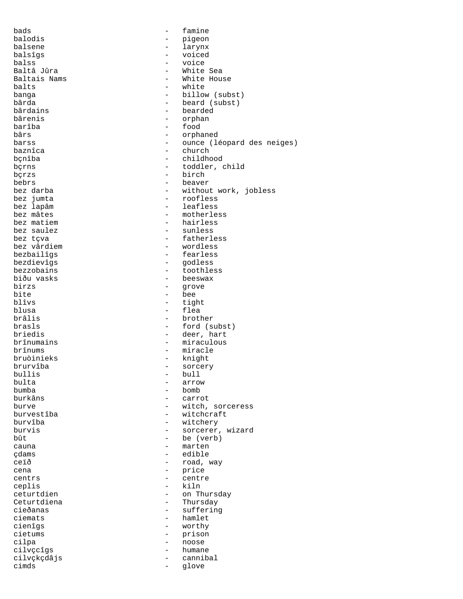bads  $-$  famine balodis - pigeon balsene - larynx balsîgs - voiced balss - voice Baltâ Jûra<br>Baltais Nams Baltais Nams<br>
balts<br>  $\begin{array}{ccc}\n\text{Balts} & - & \text{White House} \\
\text{Balts} & - & \text{white}\n\end{array}$ balts - white - billow (subst) bârda - beard (subst)<br>bârdains - bearded - bearded bârdains - bearded bârenis - orphan barîba - food bârs - orphaned barss  $\qquad \qquad - \qquad \text{ounce} \quad (160) \text{pard des neiges})$ baznîca - church bçnîba - childhood bçrns - toddler, child bçrzs - birch bebrs - beaver bez darba - without work, jobless bez jumta - roofless bez lapâm  $\begin{array}{ccc} b_{11} & b_{12} & b_{13} \\ b_{21} & b_{22} & b_{23} \\ b_{22} & b_{23} & b_{24} \\ b_{23} & b_{24} & b_{25} \\ b_{24} & b_{25} & b_{26} \\ b_{26} & b_{27} & b_{28} \\ b_{28} & b_{29} & b_{21} \\ b_{21} & b_{22} & b_{23} \\ b_{21} & b_{22} & b_{23} \\ b_{22} & b_{23} & b_{24} \\ b_{21} & b_{22} & b_{23} \\ b_{22} &$ bez mâtes<br>bez matiem entre entre de la position de la position de la position de la position de la position de<br>de la position de la position de la position de la position de la position de la position de la position de la bez matiem  $\begin{array}{ccc} b_{11} & b_{12} & b_{13} \\ b_{11} & b_{12} & b_{13} \\ b_{12} & b_{13} & b_{14} \\ b_{13} & b_{14} & b_{15} \\ b_{15} & b_{16} & b_{17} \\ b_{18} & b_{19} & b_{18} \\ b_{19} & b_{19} & b_{19} \\ b_{10} & b_{19} & b_{19} \\ b_{10} & b_{10} & b_{19} \\ b_{11} & b_{12} & b_{19} \\ b_{11} & b_{12} & b_{19} \\ b_{12}$ - sunless bez tçva  $-$  fatherless bez vârdiem - wordless bezbailîgs - fearless bezdievîgs - godless bezzobains - toothless biðu vasks - beeswax birzs - grove<br>bite - bee bite - bee<br>blîvs - tigl blîvs - tight<br>blusa - flea blusa - flea - brother brasls - ford (subst) briedis - deer, hart brînumains - miraculous brînums - miracle<br>bruòinieks - knight bruòinieks - knight brurvîba - sorcery bullis - bull bulta - arrow bumba - bomb - carrot burve  $-$  witch, sorceress<br>burvestiba  $-$  witchcraft - witchcraft burvîba - witchery burvis - sorcerer, wizard  $b\hat{u}t$  - be (verb)<br>cauna - marten cauna - marten çdams - edible ceïð - road, way<br>cena - road, way cena - price - price - price - price - price - price - price - price - price - price - price - price - price centrs - centre ceplis - kiln - on Thursday Ceturtdiena - Thursday - suffering ciemats - hamlet cienîgs - worthy cietums - prison<br>cilpa - prison<br>- noose cilpa - noose - humane cilvçkçdâjs - cannibal cimds - glove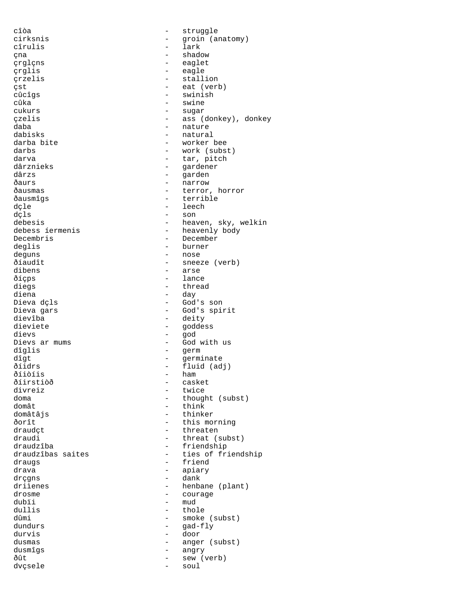cîòa - struggle cîrulis - lark çna - shadow çrglçns - eaglet çrglis - eagle çrzelis - stallion çst - eat (verb) - swinish cûka - swine - swine - swine - swine - swine - swine - swine - swine - swine - swine - swine - swine - swine -- sugar çzelis - ass (donkey), donkey - nature dabisks - natural darba bite - worker bee<br>darbs - work (subs darbs - work (subst) darva - tar, pitch dârznieks - gardener dârzs - garden ðaurs - narrow - narrow - narrow - narrow - narrow - narrow - narrow - narrow - narrow - narrow - narrow - narrow - narrow - narrow - narrow - narrow - narrow - narrow - narrow - narrow - narrow - narrow - narrow - narrow ðausmas - terror, horror <br/> - terror, horror <br/>  $\mbox{\bf -}$  terrible - terrible dçle - leech dçls - son debesis<br>debess iermenis - heaven, sky, welkin<br>- heavenly body Decembris - December deglis - burner deguns - nose ðíaudît - sneeze (verb) dibens - arse ðíçps - lance diegs - thread diena - day Dieva gars - God's spirit<br>dievîba dievîba - deity - goddess dievs - god Dievs ar mums  $-$  God with us dîglis - germ dîgt - germinate - germinate<br>ðíidrs - fluid (ad ðíidrs<br>ðíidrs - fluid (adj)<br>ðíiðíis - ham ðíiòíis - ham ðíirstiòð - casket divreiz - twice<br>doma - though doma - thought (subst) domât - think - thinker ðorît - this morning draudçt - threaten draudi - threat (subst)<br>draudzîba - triendship - triendship draudzîba - friendship draugs - friend drava - apiary drçgns<br>driìenes driìenes - henbane (plant)<br>drosme - courage  $\frac{d}{d}$  drosme  $\frac{d}{d}$   $\frac{d}{d}$   $\frac{d}{d}$   $\frac{d}{d}$   $\frac{d}{d}$   $\frac{d}{d}$   $\frac{d}{d}$   $\frac{d}{d}$   $\frac{d}{d}$   $\frac{d}{d}$   $\frac{d}{d}$   $\frac{d}{d}$   $\frac{d}{d}$   $\frac{d}{d}$   $\frac{d}{d}$   $\frac{d}{d}$   $\frac{d}{d}$   $\frac{d}{d}$   $\frac{d}{d}$   $\frac{d}{d}$   $\frac{$ dubii - mud<br>dullis - tho dullis  $\frac{du}{du}$  - thole  $\frac{du}{du}$  - thole  $\frac{du}{du}$  - smoke dûmi - smoke (subst)<br>dundurs - qad-flv - gad-fly durvis - door<br>dusmas - angel dusmas - anger (subst) dusmîgs - angry ðût - sew (verb) dvçsele - soul

- groin (anatomy) - heavenly body - God's son - ties of friendship<br>- friend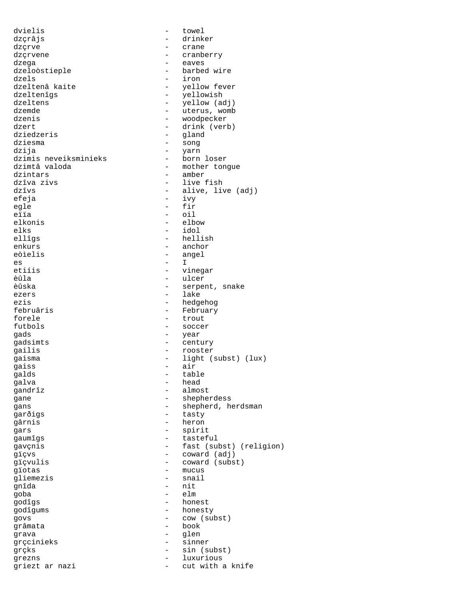dvielis - towel dzçrâjs - drinker dzçrve - crane dzçrvene - cranberry dzega - eaves dzeloòstieple<br>dzels dzels - iron dzeltenâ kaite  $\begin{array}{ccc} - & - & - \\ - & - & - \end{array}$  yellow fever dzeltenîgs - yellowish dzeltens - yellow (adj)<br>dzemde - uterus womb dzemde - uterus, womb<br>dzenis - woodpecker dzenis - woodpecker - drink (verb) dziedzeris - gland dziesma - song dzija - yarn dzimis neveiksminieks<br>dzimtâ valoda dzimtâ valoda  $\begin{array}{ccc}\n & - & \text{mother tongue} \\
\text{dzintars}\n\end{array}$ dzintars - amber dzîva zivs - live fish dzîvs - alive, live (adj) - ivy egle - fir eïïa - oil elkonis - elbow elks - idol - hellish enkurs - anchor eòìelis - angel<br>es - I es - I etiíis - vinegar èûla - ulcer èûska - serpent, snake - lake ezis - hedgehog - February forele - trout - soccer gads - year gadsimts - century gailis - rooster gaisma<br>
gaisma<br>
gaiss<br>  $\frac{1}{2}$  air<br>  $\frac{1}{2}$  air gaiss - air - air<br>qalds - tab. table galva - head gandrîz - almost - shepherdess gans  $\qquad \qquad -$  shepherd, herdsman garðigs - tasty gârnis - heron gars - spirit gaumîgs - tasteful gavçnis - fast (subst) (religion) gïçvs<br>gïçvulis - coward (adj)<br>gïçvulis - coward (subs gïçvulis - coward (subst) - mucus<br>- snail gliemezis<br>gnîda gnîda - nit goba - elm godîgs - honest godîgums - honesty govs - cow (subst) grâmata - book grava - glen grçcinieks - sinner grçks - sin (subst) grezns - luxurious griezt ar nazi  $-$  cut with a knife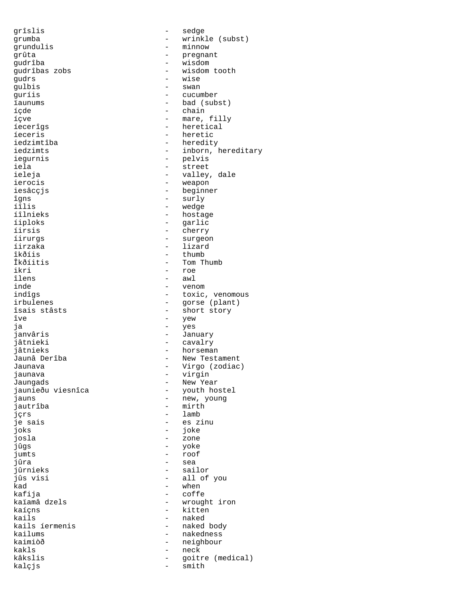gudrs - wise gulbis - swan îgns - surly - surly - surly - surly - surly - surly - surly - surly - surly - surly - surly - surly - surly - surly - surly - surly - surly - surly - surly - surly - surly - surly - surly - surly - surly - surly - surly íîlis - wedge îkðíis - thumb ikri - roe îlens - awl<br>inde - ven îve - yew jautrîba - mirth joks - joke josla - zone jûgs - yoke jumts - roof jûrnieks<br>jûs visi kad - when kails - naked kakls - neck kalçjs - smith

grîslis - sedge grumba - wrinkle (subst) grundulis - minnow - pregnant gudrîba - wisdom - wisdom tooth<br>- wise - cucumber ïaunums - bad (subst) íçde - chain - mare, filly íecerîgs - heretical íeceris - heretic iedzimtîba - heredity iedzimts - inborn, hereditary iegurnis - pelvis iela - street ieleja - valley, dale<br>ierocis - version - version - version - version - version - version - version - version - version - version ierocis<br>iesâcçjs - weapon<br>iesâcçjs - beginne iesâcçjs - beginner - hostage íiploks - garlic - cherry íirurgs - surgeon íirzaka - lizard Îkðíitis - Tom Thumb<br>ikri - Tom Thumb inde - venom indîgs - venom - venom - venom - venom - venom - venom - venom - venom - venom - venom - venom - <br>
- indîgs - venom - venom - venom - venom - venom - venom - venom - venom - venom - venom - venom - venom - ven indîgs - toxic, venomous irbulenes<br>
isais stâsts<br>
isais stâsts<br>
isais stâsts<br>
isais stânts<br>
isais stânts<br>
isais stânts<br>
isais stânts<br>
isais stânts<br>
isais stânts<br>
isais stânts<br>
isais stânts<br>
isais stânts<br>
isais stânts<br>
isais stânts<br>
isais stânts<br>
i îsais stâsts - short story - yes janvâris - January - cavalry jâtnieks - horseman - New Testament Jaunava - Virgo (zodiac) jaunava - virgin Jaungads - New Year jaunieðu viesnîca - youth hostel<br>jauns - new, young - new, young jçrs - lamb je sais - es zinu<br>ioks - es zinu - es zinu - sea<br>- sailor jûs visi - all of you - coffe kaïamâ dzels - wrought iron kaíçns - kitten<br>kails - haked - naked body kailums - nakedness kaimiòð - neighbour kâkslis - goitre (medical)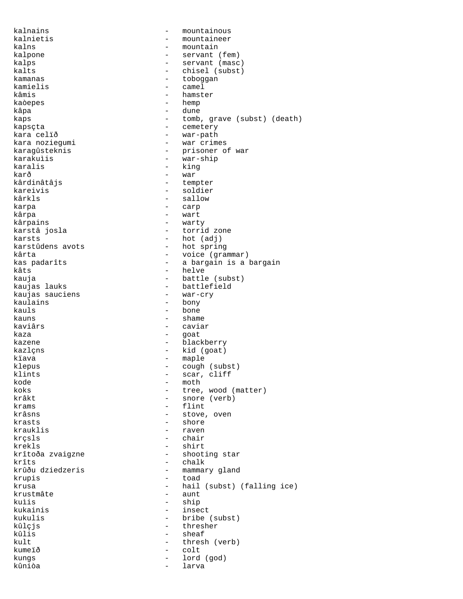kalnains - mountainous - mountaineer kalns - mountain kalpone  $\qquad \qquad -$  servant (fem) kalps - servant (masc) kalts - chisel (subst)<br>kamanas - chisel (subst) - choogaan kamanas - toboggan kamielis - camel - hamster kaòepes - hemp kâpa - dune - dune kaps  $-$  tomb, grave (subst) (death) kapsçta - cemetery kara celïð  $-$  war-path kara noziegumi - war crimes karagûsteknis - prisoner of war<br>karakulis - war-ship karakuìis - war-ship karalis - king karð - war kârdinâtâjs - tempter kareivis - soldier - sallow karpa - carp kârpa - wart kârpains - warty - torrid zone karsts - hot (adj) karstûdens avots <br/> - hot spring kârta - voice (grammar) kas padarîts - a bargain is a bargain kâts kâts - helve<br>kauja - helve<br>hattle - battle kauja - battle (subst) - battlefield<br>- war-cry kaujas sauciens kaulains - bony<br>kauls - bone - bone  $k$ auns  $-$  shame kaviârs - caviar kaza - goat kazene  $\qquad \qquad$  - blackberry kazlçns - kid (goat) kïava - maple klepus - cough (subst) klints - scar, cliff<br>kode - moth kode – moth<br>koks – tree koks - tree, wood (matter) - snore (verb)  $k$ rams  $-$  flint krâsns - stove, oven krasts - shore krauklis - raven krçsls - chair krekls - shirt - shooting star krîts - chalk - mammary gland krupis - toad krusa - hail (subst) (falling ice)<br>krustmâte - aunt - aunt krustmâte kuìis - ship kukainis - insect kukulis - bribe (subst) kûlçjs - thresher kûlis - sheaf kult - thresh (verb) kumeïð - colt kungs - lord (god) kûniòa - larva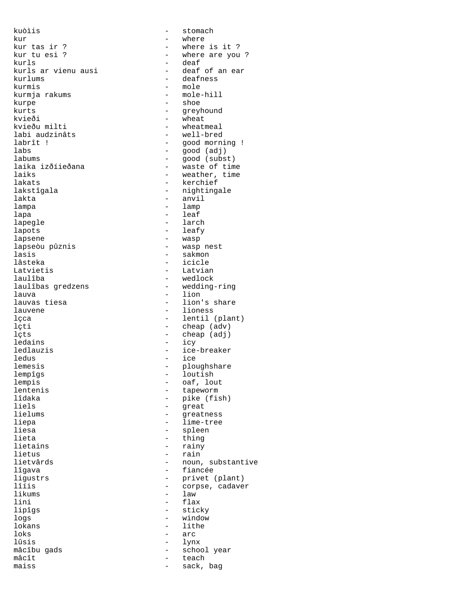kuòìis - stomach kur - where kur tas ir ? - where is it ?<br>kur tu esi ? - where are you kur tu esi ? - where are you ? kurls ar vienu ausi<br>kurlums kurlums - deafness<br>kurmis - mole kurmja rakums kurpe - shoe kurts - greyhound<br>
kvieði - wheat kvieðu milti - wheatmeal<br>labi audzinâts - well-bred labi audzinâts labrît ! - good morning !<br>labs - good (adj) - good (adj) labs - good (adj) labums - good (subst) laika izðíieðana - waste of time laiks - weather, time<br>laiks - weather, time<br>lakats - kerchief lakats - kerchief - kerchief - kerchief - kerchief - kerchief - kerchief - kerchief - kerchief - kerchief - kerchief - kerchief - kerchief - kerchief - kerchief - kerchief - kerchief - kerchief - kerchief - kerchief - kerc lakstîgala - nightingale<br>lakta - nightingale lampa - lamp lapa - leaf lapegle  $\qquad \qquad -$  larch lapots - leafy lapsene  $\qquad$  - wasp lapseòu pûznis  $-$  wasp nest lasis <sup>-</sup> sakmon - sakmon - sakmon - sakmon - sakmon - sakmon - sakmon - sakmon - sakmon - sakmon - sakmon - sakmon - sakmon - sakmon - sakmon - sakmon - sakmon - sakmon - sakmon - sakmon - sakmon - sakmon - sakmon - sakmo lâsteka - icicle Latvietis - Latvian laulîba - wedlock<br>laulîbas gredzens - - wedding laulîbas gredzens - wedding-ring lauva - lion lauvene - lioness - lioness - lioness - lioness - lioness - lioness - lioness - lioness - lioness - lioness - <br>
1 lçti - cheap (adv) lçts - cheap (adj) ledains - icy ledlauzis - ice-breaker ledus - ice<br>lemesis - plou lemesis - ploughshare lempîgs - loutish lempis - oaf, lout<br>lentenis - tapeworm - tapeworm lentenis - tapeworm lîdaka - pike (fish)<br>liels - pike (fish) liels - great liepa - lime-tree liesa - spleen lieta - thing lietains - rainy lietus - rain lîgava - fiancée ligustrs - privet (plant) likums - law - law - law - law - flax lipîgs - sticky logs - window loks  $-$  arc lûsis - lynx mâcîbu gads - school year mâcît - teach<br>maiss - sack,

- deaf<br>- deaf of an ear - mole<br>- mole-hill - wheat<br>- wheatmeal - anvil - lion's share - lentil (plant) - greatness - noun, substantive lîíis - corpse, cadaver - flax - lithe sack, bag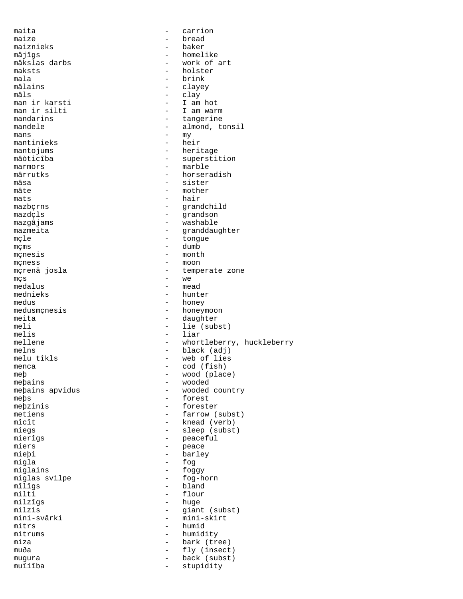maita - carrion maize - bread maiznieks<br>mâjîgs mâjîgs - homelike mâkslas darbs - work of art maksts - holster mala - brink mâlains - clayey mâls - clay man ir karsti - I am hot man ir silti  $-$  I am warm<br>mandarins  $-$  tangerine mandarins  $\qquad \qquad -$  tangerine<br>mandele  $\qquad \qquad -$  almond. to mans - my mantinieks mantojums - heritage mâòticîba - superstition<br>marmors - superstition<br>- marble marmors - marble mârrutks - horseradish<br>
mâsa - sister mâsa - sister<br>mâte - mother mâte  $-\text{mother}$ <br>mats  $-\text{hair}$ mats - hair<br>mazbcrns - same - mazbcrns mazbçrns - grandchild mazdçls<br>
mazqâjams<br>
mazqâjams<br>
annum - washable mazgâjams - washable mçle - tongue mçms - dumb<br>mcnesis - month mçnesis - month - month - month - month - month - month - month - month - month - month - month - month - month - month - month - month - month - month - month - month - month - month - month - month - month - month - mont mçness<br>mçrenâ josla  $mgs$  - we medalus - we medalus medalus - mead mednieks - hunter<br>medus - honey medus - honey<br>medusmcnesis - honey medusmçnesis - honeymoon<br>meita - daughter meita - daughter melis - liar melns - black (adj) menca - cod (fish)<br>meþ - wood (plac meþ - wood (place) meþains<br>meþains apvidus<br>- wooded - wooded meþains apvidus - wooded country<br>meþs - forest meþs - forest<br>mebzinis - foreste meþzinis - forester<br>metiens - farrow ( metiens - farrow (subst)<br>mîcît - knead (verb) miegs - sleep (subst) mierîgs - peaceful miers - peace enters<br>miebi - barle migla - fog<br>miglains - foggy - foggy miglains - foggy<br>miglas svilpe - fog-horn miglas svilpe<br>mîlîqs mîlîgs - bland<br>milti - bland<br>- flour milti - flour<br>milzîgs - huge - huge milzîgs - huge milzis - giant (subst)<br>mini-svârki - mini-skirt mini-svârki - mini-skirt<br>mitrs - humid mitrums - humidity miza - bark (tree) mugura - back (subst)

- almond, tonsil - granddaughter - temperate zone - lie (subst) mellene - whortleberry, huckleberry - web of lies - knead (verb) - barley<br>- fog - humid - fly (insect)<br>- back (subst)

stupidity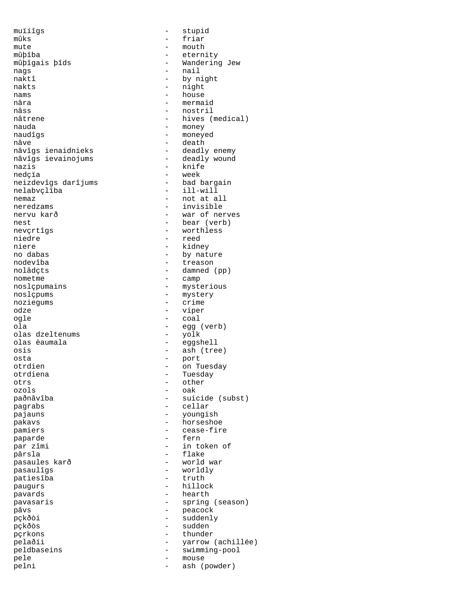muïíîgs - stupid mûks - friar mute - mouth mûþîba - eternity nags - nail naktî - by night nakts - night<br>nams - house nams - house<br>
nâra - house<br>
- merma nâra - mermaid<br>
nâss - mermaid<br>
- nostril nâss - nostril - nostril<br>nâtrene - hives ( nauda - money naudîgs - moneyed nâve - death<br>nâvîgs ienaidnieks - deadly nâvîgs ievainojums - deadly wound nazis - knife neizdevîgs darîjums - bad bargain nelabvçlîba<br>nemaz neredzams - invisible nervu karð  $-$  war of nerves nest - bear (verb) nevçrtîgs - worthless niedre en andere en andere en andere en andere en andere en andere en andere en andere en andere en andere en niere - kidney<br>no dabas - by natu no dabas - by nature nodevîba - treason nometme - camp<br>noslçpumains - myste noslçpumains - mysterious<br>noslçpums - mystery noziegums - crime odze - viper ogle - coal olas dzeltenums olas èaumala - eggshell osis - ash (tree) osta - port otrdiena - Tuesday otrs - other ozols - oak pagrabs  $\qquad$  - cellar pajauns - youngish pakavs - horseshoe pamiers - cease-fire paparde en en en la paparde de la paparde de la paparde de la paparde de la paparde de la paparde de la papard par zîmi  $-$  in token of pârsla - flake pasaulîgs - worldly patiesîba paugurs - hillock pavards - hearth pavasaris  $-$  spring (season) pâvs - peacock **p**ckðòi - suddenly pçkðòs - sudden pçrkons - thunder pelaðíi - yarrow (achillée) peldbaseins - swimming-pool pele - mouse pelni - ash (powder)

- Wandering Jew<br>- nail - hives (medical) - deadly enemy - week<br>- bad bargain - not at all - damned (pp) - mystery - egg (verb) on Tuesday - suicide (subst) - world war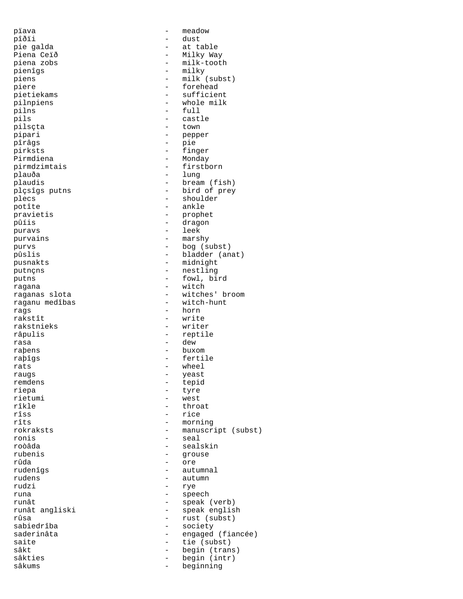pïava - meadow pîðïi - dust pie galda - at table Piena Ceïð - Milky Way pienîgs - milky<br>piens - milk ( piens - milk (subst)<br>piere - forehead piere - forehead<br>pietiekams - sufficier pilnpiens - whole milk<br>pilns - full<br>- full pilns - full<br>pils - cast. pils - castle - castle - castle - castle - castle - castle - castle - castle - castle - castle - castle - castle pipari - pepper pîrâgs - pie pirksts - finger -<br>Pirmdiena - Monday<br>pirmdzimtais - firstborn pirmdzimtais<br>plauða - Plauða - lung - lung - lung - lung - lung - lung - lung - lung - lung - lung - lung - lung - lung - lung - lung - lung - lung - lung - lung - lung - lung - lung - lung - lung - lung - lung - lung - lung - lung - lung - l plaudis - bream (fish)<br>plçsîgs putns - bird of prey plçsîgs putns - bird of prey <br>plecs - shoulder potîte - ankle pravietis - prophet -<br>puravs - leek purvains - marshy purvs - bog (subst) pûslis - bladder (anat) pusnakts - midnight<br>
putncns - mestling putnçns - nestling putns - fowl, bird ragana - witch raganu medîbas rags - horn rakstnieks râpulis - reptile rasa - dew - dew - dew - dew - dew - dew - dew - dew - dew - dew - dew - dew - dew - dew - dew - dew - dew - dew - dew - dew - dew - dew - dew - dew - dew - dew - dew - dew - dew - dew - dew - dew - dew - dew - dew - dew raþens - buxom - buxom - buxom - buxom - buxom - buxom - buxom - buxom - buxom - buxom - buxom - buxom - buxom - buxom - buxom - buxom - buxom - buxom - buxom - buxom - buxom - buxom - buxom - buxom - buxom - buxom - buxom raþîgs - fertile<br>rats - wheel rats - wheel<br>raugs - wheel<br>- veast raugs - yeast remdens - tepid riepa - tyre - tyre<br>rietumi - west rietumi - west<br>rîkle - thro rîkle - throat<br>rîss - throat rîss - rice<br>rîts - morn rokraksts - manuscript (subst) ronis - seal roòâda - sealskin rubenis - grouse rûda - ore rudenîgs - autumnal rudens - autumn rudzi – rye<br>runa – aner runât - speak (verb) runât angliski - speak english rûsa - rust (subst)<br>sabiedrîba - rust (subst)<br>- society saderinâta - engaged (fiancée)<br>saite - tie (subst) saite - tie (subst)<br>sâkt - begin (tran sâkt - begin (trans)<br>sâkties - - - - - - - - - begin (intr) sâkties - begin (intr)<br>sâkums - beginning

- milk-tooth - sufficient - town - shoulder - dragon - witches' broom<br>- witch-hunt - write<br>- writer - morning - speech - society beginning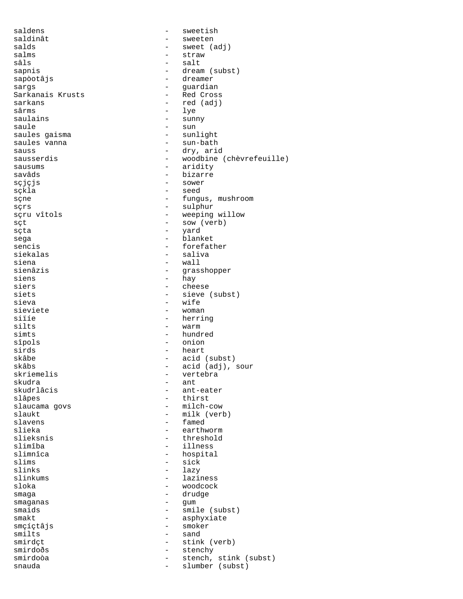saldens - sweetish saldinât - sweeten<br>salds - sweet ( salds - sweet (adj)<br>salms - straw - straw salms - straw - straw - straw - straw - salt sâls - salt sapnis - dream (subst) sapòotâjs - dreamer - guardian<br>- Red Cross Sarkanais Krusts<br>sarkans sarkans  $\qquad - \qquad - \qquad - \qquad$ red (adj)<br>sârms  $\qquad - \qquad 1$ ve  $\frac{1}{2}$  sârms -  $\frac{1}{2}$  saulains - sunt saulains - sunny<br>saule - sun - sun - sun saules gaisma  $-$  sunlight saules vanna - sun-bath sauss - dry, arid - woodbine (chèvrefeuille)<br>- aridity sausums - aridity - bizarre<br>- sower sçjçjs<br>sçkla sçkla - seed - fungus, mushroom sçrs - sulphur - sulphur sçru vîtols  $\overline{\phantom{a}}$  - weeping willow sçt - sow (verb) sçta - yard sega - blanket sencis - forefather siekalas - saliva siena - wall<br>sienâzis - crass - crass sienâzis - grasshopper siens - hay<br>siers - chee siers - cheese siets - sieve (subst)<br>sieva - wife - wife<br>- woman sieviete<br>siïíe siïíe - herring<br>silts - herring - warm simts - hundred sîpols - onion sirds - heart - heart - heart - heart - heart - heart - heart - heart - heart - heart - heart - heart - heart - heart - heart - heart - heart - heart - heart - heart - heart - heart - heart - heart - heart - heart - heart skâbe - acid (subst) skâbs<br>skriemelis - acid (adj), sour<br>- vertebra skriemelis - vertebra skudra - ant skudrlâcis - ant-eater<br>slâpes - thirst - eater - thirst<br>- milch-cow slaucama govs<br>slaukt slaukt – milk (verb)<br>slavens – famed slavens - famed slieka - earthworm<br>slieksnis - earthworm - earthworm slieksnis - threshold<br>slimîba - threshold<br>- illness slimîba - illness slimnîca - hospital<br>slims - sick slims - sick<br>slinks - lazv slinks - lazy<br>slinkums - lazi slinkums - laziness sloka - woodcock - drudge smaganas - gum smaids - smile (subst)<br>smakt - asphyxiate - asphyxiate<br>- smoker smçíctâjs smilts - sand - stink (verb)<br>- stenchy smirdoðs - stenchy smirdoòa - stench, stink (subst) - slumber (subst)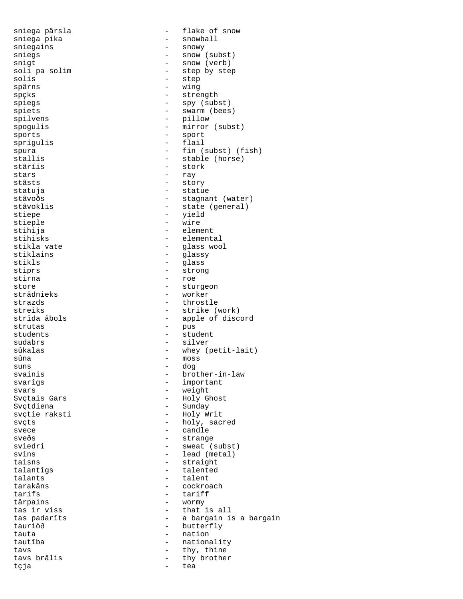stars - ray<br>stâsts - ray<br>- sto: stirna - roe<br>store - stuu suns - dog<br>svainis - brot tçja - tea

sniega pârsla - flake of snow sniega pika - snowball sniegains - snowy sniegs - snow (subst)<br>snigt - snow (verb) snigt - snow (verb)<br>soli pa solim - step by ste soli pa solim - step by step<br>solis - step<br>- step solis - step<br>spârns - wing - wing spârns - wing - strength spiegs - spy (subst) spiets - swarm (bees) spilvens - pillow spogulis - mirror (subst) sports - sport sprigulis - flail spura - fin (subst) (fish)<br>stallis - stable (horse) stallis - stable (horse)<br>stâríis - stork - stork - stork stâsts - story statuja - statue - stagnant (water) stâvoklis <br/>
- state (general) stiepe - yield stieple - wire - element stihisks - elemental stikla vate - glass wool stiklains - glassy<br>stikls - glass<br>- glass stikls - glass<br>stiprs - glass<br>- stron stiprs - strong<br>stirna - strong<br>tirna - roe store - sturgeon - worker strazds - throstle streiks - strike (work)<br>strîda âbols - apple of disc strîda âbols - apple of discord - pus students - student sudabrs - silver sûkalas - whey (petit-lait)<br>sûna - moss - moss sûna - moss svainis - brother-in-law svarîgs - important svars - weight Svçtais Gars<br>Svctdiena - Holy Ghost<br>- Sundav Svçtdiena - Sunday<br>svçtie raksti - Holy Wi - Holy Writ svçts - holy, sacred svece - candle sveðs - strange sviedri - sweat (subst) svins - lead (metal)<br>taisns - lead (metal)<br>- straight - straight<br>- talented talantîgs - talented talants - talent tarakâns - cockroach - tariff târpains - wormy<br>tas ir viss - that tas ir viss - that is all tas padarîts  $\begin{array}{ccc} - & a & bargain & i s & a & bargain \\ tauriòð & & & & - \quad butterflv \end{array}$ - butterfly tauta  $-$  nation tautîba - nationality tavs - thy, thine - thy brother<br>- tea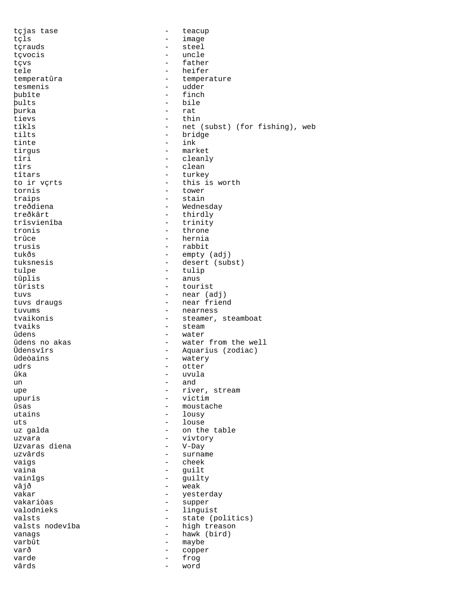tçjas tase  $-$  teacup tçls - image tçrauds - steel tçvocis and the uncle of the set of the set of the set of the set of the set of the set of the set of the set o tçvs - father tele - heifer<br>temperatûra - temperatûra - temperatûra temperatûra - temperature - temperature - temperature - temperature - temperature - temperature - temperature - temperature - temperature - temperature - temperature - temperature - temperature - temperature - temperature tesmenis - udder - finch þults - bile þurka – rat<br>tievs – thi tievs - thin<br>tîkls - net - net (subst) (for fishing), web tilts - bridge tinte - ink tirgus - market<br>tîri - cleanl tîri - cleanly<br>tîrs - clean tîrs - clean tîtars - turkey to ir vçrts - this is worth tornis - tower<br>traips - tain - tain traips - stain treðdiena - Wednesday<br>treðkârt - thirdly treðkârt - thirdly<br>trîsvienîba - trinitv trîsvienîba - trinity<br>tronis - throne - throne trûce - hernia trusis - rabbit tukðs - empty (adj) tuksnesis - desert (subst)<br>tulpe - tulip tulpe - tulip<br>tûplis - tulip<br>- anus tûplis - anus<br>tûrists - tour tûrists - tourist<br>tuvs - near (a tuvs - near (adj) tuvs draugs  $\begin{array}{ccc} - & - & \text{near friend} \\ \text{tuvums} & - & \text{near fresh} \end{array}$ tuvums - nearness<br>tvaikonis - steamer, tvaikonis - steamer, steamboat - steam ûdens - water ûdens no akas - water from the well<br>Ûdensvîrs - - - - - - - - Aquarius (zodiac) Ûdensvîrs - Aquarius (zodiac) ûdeòains - watery udrs - otter ûka - uvula - uvula - uvula - uvula - uvula - uvula - uvula - uvula - uvula - uvula - uvula - uvula - uvula un – and<br>upe – rive upe - river, stream upuris - victim ûsas - moustache<br>utains - lousv - lousy uts  $-$  louse uz galda  $\qquad \qquad$  - on the table uzvara - vivtory Uzvaras diena<br>uzvârds - surname vaigs - cheek - guilt vainîgs - guilty vâjð - weak<br>vakar - weak<br>- vest vakar - yesterday vakariòas - supper valodnieks - linguist<br>valsts - state (p valsts - state (politics) - high treason vanags - hawk (bird) varbût - maybe varð - copper varde - frog vârds - word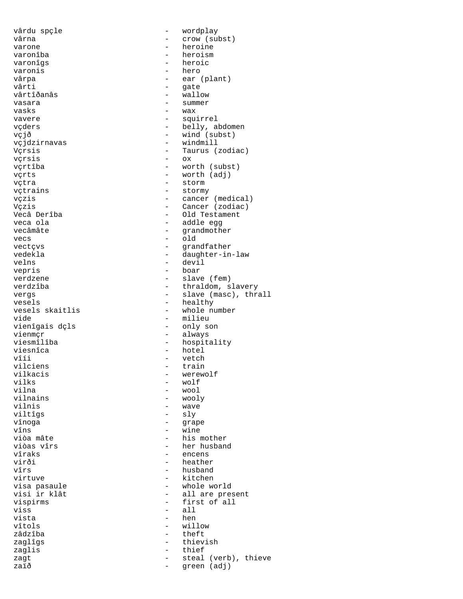varonîgs - heroic varonis<br>vârpa vârti - gate vasara  $-$  summer vasks - wax vçrsis - ox vecs - old velns - devil vepris - boar vienîgais dçls vienmçr - always viesnîca - hotel - hotel<br>vîíi - vetch vîíi - vetch - vetch - vetch - vetch - vetch - vetch - vetch - vetch - vetch - vetch - vetch - vetch - vetch vilciens - train<br>vilkacis - train<br>- werew vilks - wolf<br>vilna - wolf vilna - wool<br>vilnains - wool - wool vilnains - wooly<br>vilnis - wave - wave vilnis - wave vînoga e statut e grape vîns - wine viss  $\begin{array}{ccc} - & \text{all} \\ \text{with} \\ - & \text{hen} \end{array}$ vista – hen<br>vîtols – will zâdzîba - theft zaglis - thief

vârdu spçle - wordplay vârna  $\qquad \qquad - \qquad \text{crow (subst)}$ varone - heroine - heroine varonîba - heroism vârpa - ear (plant)<br>vârti - ear (plant) - wallow vavere  $\qquad \qquad -$  squirrel vçders - belly, abdomen vçjð - wind (subst) vçjdzirnavas - windmill Vçrsis - Taurus (zodiac) vçrtîba - worth (subst) vçrts - worth (adj) - storm vçtrains - stormy vçzis - cancer (medical) Vçzis - Cancer (zodiac) Vecâ Derîba - Old Testament<br>veca ola - Addle egg veca ola - addle egg - grandmother vectçvs - grandfather vedekla - daughter-in-law verdzene - slave (fem) - thraldom, slavery vergs  $-$  slave (masc), thrall<br>vesels  $-$  healthy vesels<br>vesels skaitlis - healthy<br>- whole nu - whole number vide<br>
vienīgais dcls<br>
- only son viesmîlîba - hospitality<br>viesnîca - hotel - hotel vilkacis - werewolf - sly viòa mâte - his mother viòas vîrs - her husband vîraks - encens virði - heather<br>vîrs - husband - husband vîrs - husband virtuve - kitchen visa pasaule  $\begin{array}{ccc} & - & \text{ whole world} \\ \text{visi ir klât} & - & \text{ all are pre.} \end{array}$ - all are present vispirms - first of all<br>viss - all<br>- all - willow zaglîgs - thievish zagt  $\begin{array}{cccc} z & - & + \\ z & 0 & - \end{array}$  (verb), thieve zaið green (adj)